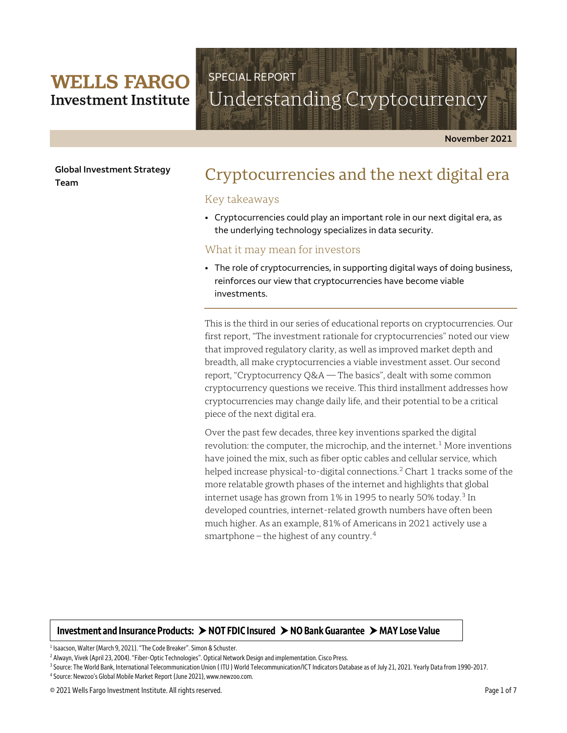# **WELLS FARGO Investment Institute**

# Understanding Cryptocurrency

**November 2021** 

**Global Investment Strategy Team**

# Cryptocurrencies and the next digital era

# Key takeaways

SPECIAL REPORT

• Cryptocurrencies could play an important role in our next digital era, as the underlying technology specializes in data security.

# What it may mean for investors

• The role of cryptocurrencies, in supporting digital ways of doing business, reinforces our view that cryptocurrencies have become viable investments.

This is the third in our series of educational reports on cryptocurrencies. Our first report, "The investment rationale for cryptocurrencies" noted our view that improved regulatory clarity, as well as improved market depth and breadth, all make cryptocurrencies a viable investment asset. Our second report, "Cryptocurrency Q&A — The basics", dealt with some common cryptocurrency questions we receive. This third installment addresses how cryptocurrencies may change daily life, and their potential to be a critical piece of the next digital era.

Over the past few decades, three key inventions sparked the digital revolution: the computer, the microchip, and the internet.<sup>[1](#page-0-0)</sup> More inventions have joined the mix, such as fiber optic cables and cellular service, which helped increase physical-to-digital connections.<sup>[2](#page-0-1)</sup> Chart 1 tracks some of the more relatable growth phases of the internet and highlights that global internet usage has grown from 1% in 1995 to nearly 50% today.<sup>[3](#page-0-2)</sup> In developed countries, internet-related growth numbers have often been much higher. As an example, 81% of Americans in 2021 actively use a smartphone – the highest of any country. [4](#page-0-3)

# **Investment and Insurance Products: NOT FDIC Insured NO Bank Guarantee MAY Lose Value**

 $\overline{\phantom{a}}$ 

<span id="page-0-1"></span><span id="page-0-0"></span><sup>&</sup>lt;sup>1</sup> Isaacson, Walter (March 9, 2021). "The Code Breaker". Simon & Schuster.<br><sup>2</sup> Alwayn, Vivek (April 23, 2004). "Fiber-Optic Technologies". Optical Network Design and implementation. Cisco Press.<br><sup>3</sup> Source: The World Bank

<span id="page-0-3"></span><span id="page-0-2"></span><sup>4</sup> Source: Newzoo's Global Mobile Market Report (June 2021), www.newzoo.com.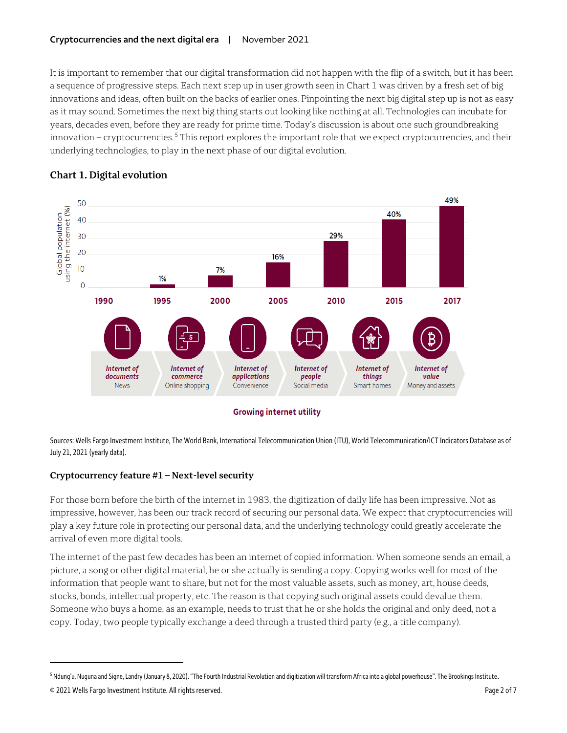It is important to remember that our digital transformation did not happen with the flip of a switch, but it has been a sequence of progressive steps. Each next step up in user growth seen in Chart 1 was driven by a fresh set of big innovations and ideas, often built on the backs of earlier ones. Pinpointing the next big digital step up is not as easy as it may sound. Sometimes the next big thing starts out looking like nothing at all. Technologies can incubate for years, decades even, before they are ready for prime time. Today's discussion is about one such groundbreaking innovation – cryptocurrencies. [5](#page-1-0) This report explores the important role that we expect cryptocurrencies, and their underlying technologies, to play in the next phase of our digital evolution.



# **Chart 1. Digital evolution**

Sources: Wells Fargo Investment Institute, The World Bank, International Telecommunication Union (ITU), World Telecommunication/ICT Indicators Database as of July 21, 2021 (yearly data).

# **Cryptocurrency feature #1 – Next-level security**

For those born before the birth of the internet in 1983, the digitization of daily life has been impressive. Not as impressive, however, has been our track record of securing our personal data. We expect that cryptocurrencies will play a key future role in protecting our personal data, and the underlying technology could greatly accelerate the arrival of even more digital tools.

The internet of the past few decades has been an internet of copied information. When someone sends an email, a picture, a song or other digital material, he or she actually is sending a copy. Copying works well for most of the information that people want to share, but not for the most valuable assets, such as money, art, house deeds, stocks, bonds, intellectual property, etc. The reason is that copying such original assets could devalue them. Someone who buys a home, as an example, needs to trust that he or she holds the original and only deed, not a copy. Today, two people typically exchange a deed through a trusted third party (e.g., a title company).

 $\overline{a}$ 

<span id="page-1-0"></span><sup>5</sup> Ndung'u, Nuguna and Signe, Landry (January 8, 2020)."The Fourth Industrial Revolution and digitization will transform Africa into a global powerhouse". The Brookings Institute.

<sup>© 2021</sup> Wells Fargo Investment Institute. All rights reserved. Page 2 of 7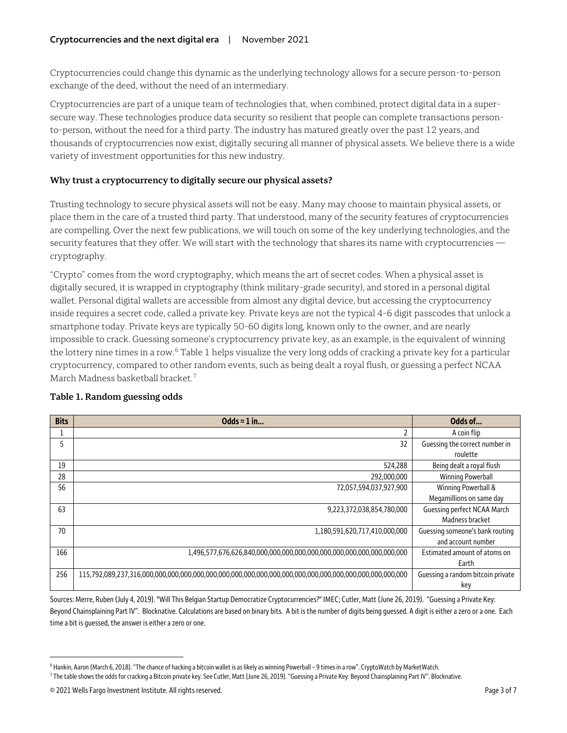Cryptocurrencies could change this dynamic as the underlying technology allows for a secure person-to-person exchange of the deed, without the need of an intermediary.

Cryptocurrencies are part of a unique team of technologies that, when combined, protect digital data in a supersecure way. These technologies produce data security so resilient that people can complete transactions personto-person, without the need for a third party. The industry has matured greatly over the past 12 years, and thousands of cryptocurrencies now exist, digitally securing all manner of physical assets. We believe there is a wide variety of investment opportunities for this new industry.

# **Why trust a cryptocurrency to digitally secure our physical assets?**

Trusting technology to secure physical assets will not be easy. Many may choose to maintain physical assets, or place them in the care of a trusted third party. That understood, many of the security features of cryptocurrencies are compelling. Over the next few publications, we will touch on some of the key underlying technologies, and the security features that they offer. We will start with the technology that shares its name with cryptocurrencies cryptography.

"Crypto" comes from the word cryptography, which means the art of secret codes. When a physical asset is digitally secured, it is wrapped in cryptography (think military-grade security), and stored in a personal digital wallet. Personal digital wallets are accessible from almost any digital device, but accessing the cryptocurrency inside requires a secret code, called a private key. Private keys are not the typical 4-6 digit passcodes that unlock a smartphone today. Private keys are typically 50-60 digits long, known only to the owner, and are nearly impossible to crack. Guessing someone's cryptocurrency private key, as an example, is the equivalent of winning the lottery nine times in a row.<sup>[6](#page-2-0)</sup> Table 1 helps visualize the very long odds of cracking a private key for a particular cryptocurrency, compared to other random events, such as being dealt a royal flush, or guessing a perfect NCAA March Madness basketball bracket. [7](#page-2-1)

| <b>Bits</b> | Odds = $1$ in                 | Odds of                           |
|-------------|-------------------------------|-----------------------------------|
|             |                               | A coin flip                       |
| 5           | 32                            | Guessing the correct number in    |
|             |                               | roulette                          |
| 19          | 524,288                       | Being dealt a royal flush         |
| 28          | 292,000,000                   | <b>Winning Powerball</b>          |
| 56          | 72,057,594,037,927,900        | Winning Powerball &               |
|             |                               | Megamillions on same day          |
| 63          | 9,223,372,038,854,780,000     | Guessing perfect NCAA March       |
|             |                               | Madness bracket                   |
| 70          | 1,180,591,620,717,410,000,000 | Guessing someone's bank routing   |
|             |                               | and account number                |
| 166         |                               | Estimated amount of atoms on      |
|             |                               | Earth                             |
| 256         |                               | Guessing a random bitcoin private |
|             |                               | key                               |

# **Table 1. Random guessing odds**

Sources: Merre, Ruben (July 4, 2019). "Will This Belgian Startup Democratize Cryptocurrencies?" IMEC; Cutler, Matt (June 26, 2019). "Guessing a Private Key: Beyond Chainsplaining Part IV". Blocknative. Calculations are based on binary bits. A bit is the number of digits being guessed. A digit is either a zero or a one. Each time a bit is guessed, the answer is either a zero or one.

 $\overline{a}$ 

<span id="page-2-0"></span><sup>6</sup> Hankin, Aaron (March 6, 2018)."The chance of hacking a bitcoin wallet is as likely as winning Powerball – 9 times in a row". CryptoWatch by MarketWatch.

<span id="page-2-1"></span><sup>7</sup> The table shows the odds for cracking a Bitcoin private key. See Cutler, Matt (June 26, 2019)."Guessing a Private Key: Beyond Chainsplaining Part IV". Blocknative.

<sup>© 2021</sup> Wells Fargo Investment Institute. All rights reserved. Page 3 of 7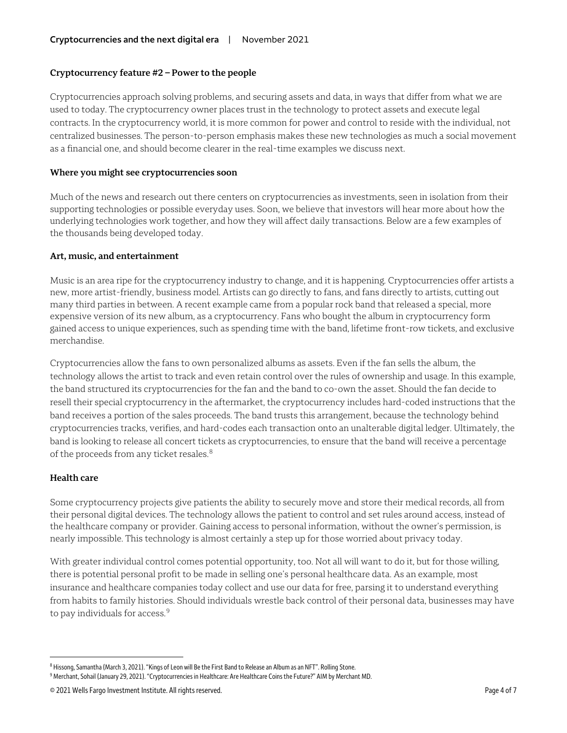# **Cryptocurrency feature #2 – Power to the people**

Cryptocurrencies approach solving problems, and securing assets and data, in ways that differ from what we are used to today. The cryptocurrency owner places trust in the technology to protect assets and execute legal contracts. In the cryptocurrency world, it is more common for power and control to reside with the individual, not centralized businesses. The person-to-person emphasis makes these new technologies as much a social movement as a financial one, and should become clearer in the real-time examples we discuss next.

### **Where you might see cryptocurrencies soon**

Much of the news and research out there centers on cryptocurrencies as investments, seen in isolation from their supporting technologies or possible everyday uses. Soon, we believe that investors will hear more about how the underlying technologies work together, and how they will affect daily transactions. Below are a few examples of the thousands being developed today.

## **Art, music, and entertainment**

Music is an area ripe for the cryptocurrency industry to change, and it is happening. Cryptocurrencies offer artists a new, more artist-friendly, business model. Artists can go directly to fans, and fans directly to artists, cutting out many third parties in between. A recent example came from a popular rock band that released a special, more expensive version of its new album, as a cryptocurrency. Fans who bought the album in cryptocurrency form gained access to unique experiences, such as spending time with the band, lifetime front-row tickets, and exclusive merchandise.

Cryptocurrencies allow the fans to own personalized albums as assets. Even if the fan sells the album, the technology allows the artist to track and even retain control over the rules of ownership and usage. In this example, the band structured its cryptocurrencies for the fan and the band to co-own the asset. Should the fan decide to resell their special cryptocurrency in the aftermarket, the cryptocurrency includes hard-coded instructions that the band receives a portion of the sales proceeds. The band trusts this arrangement, because the technology behind cryptocurrencies tracks, verifies, and hard-codes each transaction onto an unalterable digital ledger. Ultimately, the band is looking to release all concert tickets as cryptocurrencies, to ensure that the band will receive a percentage of the proceeds from any ticket resales.<sup>[8](#page-3-0)</sup>

# **Health care**

 $\overline{a}$ 

Some cryptocurrency projects give patients the ability to securely move and store their medical records, all from their personal digital devices. The technology allows the patient to control and set rules around access, instead of the healthcare company or provider. Gaining access to personal information, without the owner's permission, is nearly impossible. This technology is almost certainly a step up for those worried about privacy today.

With greater individual control comes potential opportunity, too. Not all will want to do it, but for those willing, there is potential personal profit to be made in selling one's personal healthcare data. As an example, most insurance and healthcare companies today collect and use our data for free, parsing it to understand everything from habits to family histories. Should individuals wrestle back control of their personal data, businesses may have to pay individuals for access. [9](#page-3-1)

<span id="page-3-0"></span><sup>8</sup> Hissong, Samantha (March 3, 2021)."Kings of Leon will Be the First Band to Release an Album as an NFT". Rolling Stone.

<span id="page-3-1"></span><sup>9</sup>Merchant, Sohail (January 29, 2021)."Cryptocurrencies in Healthcare: Are Healthcare Coins the Future?" AIM by Merchant MD.

<sup>© 2021</sup> Wells Fargo Investment Institute. All rights reserved. Page 4 of 7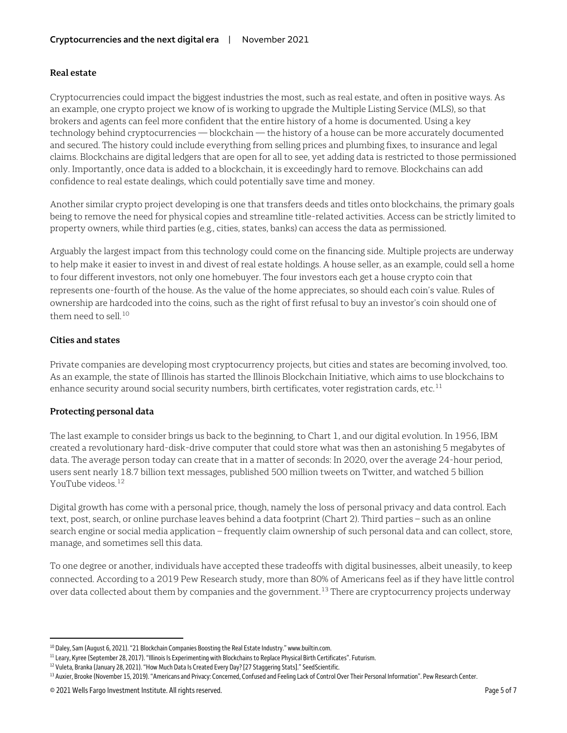# **Real estate**

Cryptocurrencies could impact the biggest industries the most, such as real estate, and often in positive ways. As an example, one crypto project we know of is working to upgrade the Multiple Listing Service (MLS), so that brokers and agents can feel more confident that the entire history of a home is documented. Using a key technology behind cryptocurrencies — blockchain — the history of a house can be more accurately documented and secured. The history could include everything from selling prices and plumbing fixes, to insurance and legal claims. Blockchains are digital ledgers that are open for all to see, yet adding data is restricted to those permissioned only. Importantly, once data is added to a blockchain, it is exceedingly hard to remove. Blockchains can add confidence to real estate dealings, which could potentially save time and money.

Another similar crypto project developing is one that transfers deeds and titles onto blockchains, the primary goals being to remove the need for physical copies and streamline title-related activities. Access can be strictly limited to property owners, while third parties (e.g., cities, states, banks) can access the data as permissioned.

Arguably the largest impact from this technology could come on the financing side. Multiple projects are underway to help make it easier to invest in and divest of real estate holdings. A house seller, as an example, could sell a home to four different investors, not only one homebuyer. The four investors each get a house crypto coin that represents one-fourth of the house. As the value of the home appreciates, so should each coin's value. Rules of ownership are hardcoded into the coins, such as the right of first refusal to buy an investor's coin should one of them need to sell. [10](#page-4-0)

## **Cities and states**

 $\overline{a}$ 

Private companies are developing most cryptocurrency projects, but cities and states are becoming involved, too. As an example, the state of Illinois has started the Illinois Blockchain Initiative, which aims to use blockchains to enhance security around social security numbers, birth certificates, voter registration cards, etc.<sup>11</sup>

# **Protecting personal data**

The last example to consider brings us back to the beginning, to Chart 1, and our digital evolution. In 1956, IBM created a revolutionary hard-disk-drive computer that could store what was then an astonishing 5 megabytes of data. The average person today can create that in a matter of seconds: In 2020, over the average 24-hour period, users sent nearly 18.7 billion text messages, published 500 million tweets on Twitter, and watched 5 billion YouTube videos.<sup>12</sup>

Digital growth has come with a personal price, though, namely the loss of personal privacy and data control. Each text, post, search, or online purchase leaves behind a data footprint (Chart 2). Third parties – such as an online search engine or social media application – frequently claim ownership of such personal data and can collect, store, manage, and sometimes sell this data.

To one degree or another, individuals have accepted these tradeoffs with digital businesses, albeit uneasily, to keep connected. According to a 2019 Pew Research study, more than 80% of Americans feel as if they have little control over data collected about them by companies and the government.<sup>[13](#page-4-3)</sup> There are cryptocurrency projects underway

<span id="page-4-0"></span><sup>&</sup>lt;sup>10</sup> Daley, Sam (August 6, 2021). "21 Blockchain Companies Boosting the Real Estate Industry." www.builtin.com.

<span id="page-4-1"></span><sup>&</sup>lt;sup>11</sup> Leary, Kyree (September 28, 2017). "Illinois Is Experimenting with Blockchains to Replace Physical Birth Certificates". Futurism.

<span id="page-4-3"></span><span id="page-4-2"></span><sup>&</sup>lt;sup>12</sup> Vuleta, Branka (January 28, 2021). "How Much Data Is Created Every Day? [27 Staggering Stats]." SeedScientific.

<sup>&</sup>lt;sup>13</sup> Auxier, Brooke (November 15, 2019). "Americans and Privacy: Concerned, Confused and Feeling Lack of Control Over Their Personal Information". Pew Research Center.

<sup>© 2021</sup> Wells Fargo Investment Institute. All rights reserved. Page 5 of 7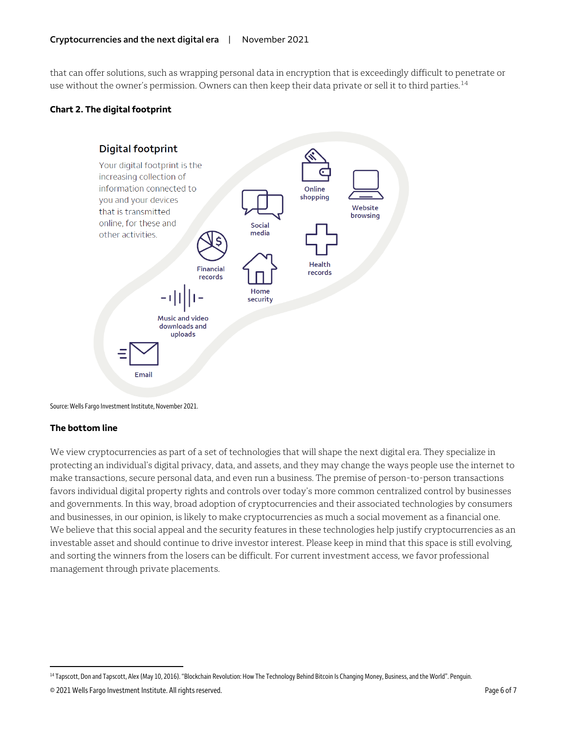that can offer solutions, such as wrapping personal data in encryption that is exceedingly difficult to penetrate or use without the owner's permission. Owners can then keep their data private or sell it to third parties.<sup>[14](#page-5-0)</sup>

# **Chart 2. The digital footprint**



Source: Wells Fargo Investment Institute, November 2021.

# **The bottom line**

We view cryptocurrencies as part of a set of technologies that will shape the next digital era. They specialize in protecting an individual's digital privacy, data, and assets, and they may change the ways people use the internet to make transactions, secure personal data, and even run a business. The premise of person-to-person transactions favors individual digital property rights and controls over today's more common centralized control by businesses and governments. In this way, broad adoption of cryptocurrencies and their associated technologies by consumers and businesses, in our opinion, is likely to make cryptocurrencies as much a social movement as a financial one. We believe that this social appeal and the security features in these technologies help justify cryptocurrencies as an investable asset and should continue to drive investor interest. Please keep in mind that this space is still evolving, and sorting the winners from the losers can be difficult. For current investment access, we favor professional management through private placements.

<span id="page-5-0"></span> $\overline{a}$ <sup>14</sup> Tapscott, Don and Tapscott, Alex (May 10, 2016). "Blockchain Revolution: How The Technology Behind Bitcoin Is Changing Money, Business, and the World". Penguin.

<sup>© 2021</sup> Wells Fargo Investment Institute. All rights reserved. Page 6 of 7